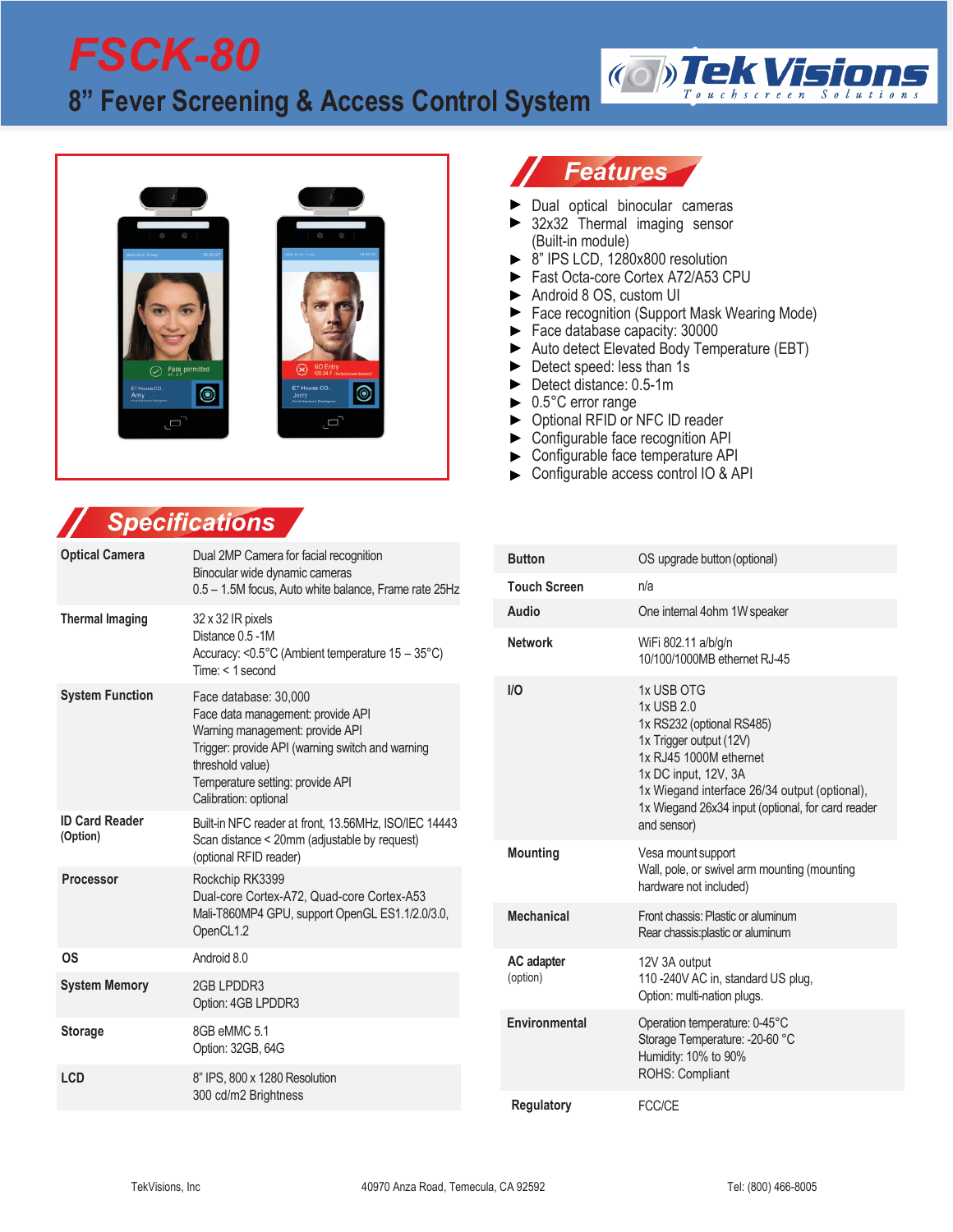# *FSCK-80* **8" Fever Screening & Access Control System**



# *Features*

- Dual optical binocular cameras
- ▶ 32x32 Thermal imaging sensor (Built-in module)
- $\triangleright$  8" IPS LCD, 1280x800 resolution
- Fast Octa-core Cortex A72/A53 CPU
- Android 8 OS, custom UI
- ▶ Face recognition (Support Mask Wearing Mode)
- $\blacktriangleright$  Face database capacity: 30000
- Auto detect Elevated Body Temperature (EBT)

**(O)Tek Visit** 

- Detect speed: less than 1s
- Detect distance: 0.5-1m
- 0.5°C error range  $\blacktriangleright$
- ▶ Optional RFID or NFC ID reader
- Configurable face recognition API ▶
- Configurable face temperature API  $\blacktriangleright$
- Configurable access control IO & API

## *Specifications*

| <b>Optical Camera</b>                          | Dual 2MP Camera for facial recognition<br>Binocular wide dynamic cameras<br>0.5 - 1.5M focus, Auto white balance, Frame rate 25Hz                                                                                                                                | <b>Button</b>        | OS upgrade button (                                                                                                                                             |
|------------------------------------------------|------------------------------------------------------------------------------------------------------------------------------------------------------------------------------------------------------------------------------------------------------------------|----------------------|-----------------------------------------------------------------------------------------------------------------------------------------------------------------|
|                                                |                                                                                                                                                                                                                                                                  | <b>Touch Screen</b>  | n/a                                                                                                                                                             |
| <b>Thermal Imaging</b>                         | 32 x 32 IR pixels<br>Distance 0.5 -1M<br>Accuracy: <0.5°C (Ambient temperature 15 - 35°C)<br>$Time: < 1$ second                                                                                                                                                  | Audio                | One internal 4ohm 1                                                                                                                                             |
|                                                |                                                                                                                                                                                                                                                                  | <b>Network</b>       | WiFi 802.11 a/b/g/n<br>10/100/1000MB ethe                                                                                                                       |
| <b>System Function</b>                         | Face database: 30,000<br>Face data management: provide API<br>Warning management: provide API<br>Trigger: provide API (warning switch and warning<br>threshold value)<br>Temperature setting: provide API<br>Calibration: optional                               | I/O                  | 1x USB OTG<br>1x USB 2.0<br>1x RS232 (optional<br>1x Trigger output (1)<br>1x RJ45 1000M eth<br>1x DC input, 12V, 3<br>1x Wiegand interfa<br>1x Wiegand 26x34 i |
| <b>ID Card Reader</b><br>(Option)<br>Processor | Built-in NFC reader at front, 13.56MHz, ISO/IEC 14443<br>Scan distance < 20mm (adjustable by request)<br>(optional RFID reader)<br>Rockchip RK3399<br>Dual-core Cortex-A72, Quad-core Cortex-A53<br>Mali-T860MP4 GPU, support OpenGL ES1.1/2.0/3.0,<br>OpenCL1.2 |                      | and sensor)                                                                                                                                                     |
|                                                |                                                                                                                                                                                                                                                                  | <b>Mounting</b>      | Vesa mount support<br>Wall, pole, or swivel                                                                                                                     |
|                                                |                                                                                                                                                                                                                                                                  |                      | hardware not include                                                                                                                                            |
|                                                |                                                                                                                                                                                                                                                                  | <b>Mechanical</b>    | Front chassis: Plastic<br>Rear chassis: plastic of                                                                                                              |
| <b>OS</b>                                      | Android 8.0<br>2GB LPDDR3<br>Option: 4GB LPDDR3                                                                                                                                                                                                                  | AC adapter           | 12V 3A output                                                                                                                                                   |
| <b>System Memory</b>                           |                                                                                                                                                                                                                                                                  | (option)             | 110 - 240 V AC in, sta<br>Option: multi-nation                                                                                                                  |
| <b>Storage</b>                                 | 8GB eMMC 5.1<br>Option: 32GB, 64G                                                                                                                                                                                                                                | <b>Environmental</b> | Operation temperatu<br>Storage Temperatur<br>Humidity: 10% to 90                                                                                                |
| <b>LCD</b>                                     | 8" IPS, 800 x 1280 Resolution<br>300 cd/m2 Brightness                                                                                                                                                                                                            |                      | ROHS: Compliant                                                                                                                                                 |
|                                                |                                                                                                                                                                                                                                                                  | Regulatory           | FCC/CF                                                                                                                                                          |

| <b>Button</b>          | OS upgrade button (optional)                                                                                                                                                                                                                            |
|------------------------|---------------------------------------------------------------------------------------------------------------------------------------------------------------------------------------------------------------------------------------------------------|
| <b>Touch Screen</b>    | n/a                                                                                                                                                                                                                                                     |
| Audio                  | One internal 4ohm 1W speaker                                                                                                                                                                                                                            |
| <b>Network</b>         | WiFi 802.11 a/b/g/n<br>10/100/1000MB ethernet RJ-45                                                                                                                                                                                                     |
| I/O                    | 1x USB OTG<br>1x USB 2.0<br>1x RS232 (optional RS485)<br>1x Trigger output (12V)<br>1x RJ45 1000M ethernet<br>1x DC input, 12V, 3A<br>1x Wiegand interface 26/34 output (optional),<br>1x Wiegand 26x34 input (optional, for card reader<br>and sensor) |
| <b>Mounting</b>        | Vesa mount support<br>Wall, pole, or swivel arm mounting (mounting<br>hardware not included)                                                                                                                                                            |
| <b>Mechanical</b>      | Front chassis: Plastic or aluminum<br>Rear chassis: plastic or aluminum                                                                                                                                                                                 |
| AC adapter<br>(option) | 12V 3A output<br>110 -240V AC in, standard US plug,<br>Option: multi-nation plugs.                                                                                                                                                                      |
| Environmental          | Operation temperature: 0-45°C<br>Storage Temperature: -20-60 °C<br>Humidity: 10% to 90%<br>ROHS: Compliant                                                                                                                                              |
| <b>Regulatory</b>      | FCC/CF                                                                                                                                                                                                                                                  |